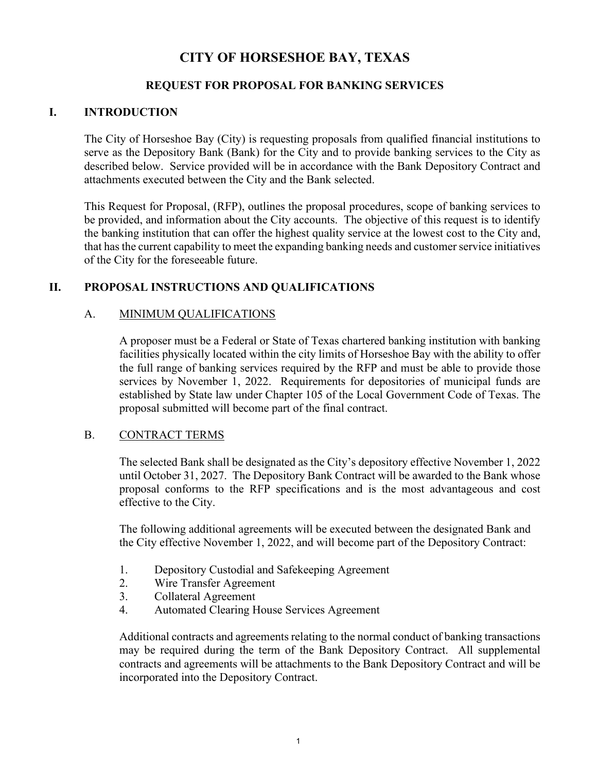# **CITY OF HORSESHOE BAY, TEXAS**

### **REQUEST FOR PROPOSAL FOR BANKING SERVICES**

### **I. INTRODUCTION**

The City of Horseshoe Bay (City) is requesting proposals from qualified financial institutions to serve as the Depository Bank (Bank) for the City and to provide banking services to the City as described below. Service provided will be in accordance with the Bank Depository Contract and attachments executed between the City and the Bank selected.

This Request for Proposal, (RFP), outlines the proposal procedures, scope of banking services to be provided, and information about the City accounts. The objective of this request is to identify the banking institution that can offer the highest quality service at the lowest cost to the City and, that has the current capability to meet the expanding banking needs and customer service initiatives of the City for the foreseeable future.

### **II. PROPOSAL INSTRUCTIONS AND QUALIFICATIONS**

### A. MINIMUM QUALIFICATIONS

A proposer must be a Federal or State of Texas chartered banking institution with banking facilities physically located within the city limits of Horseshoe Bay with the ability to offer the full range of banking services required by the RFP and must be able to provide those services by November 1, 2022. Requirements for depositories of municipal funds are established by State law under Chapter 105 of the Local Government Code of Texas. The proposal submitted will become part of the final contract.

### B. CONTRACT TERMS

The selected Bank shall be designated as the City's depository effective November 1, 2022 until October 31, 2027. The Depository Bank Contract will be awarded to the Bank whose proposal conforms to the RFP specifications and is the most advantageous and cost effective to the City.

The following additional agreements will be executed between the designated Bank and the City effective November 1, 2022, and will become part of the Depository Contract:

- 1. Depository Custodial and Safekeeping Agreement
- 2. Wire Transfer Agreement
- 3. Collateral Agreement
- 4. Automated Clearing House Services Agreement

Additional contracts and agreements relating to the normal conduct of banking transactions may be required during the term of the Bank Depository Contract. All supplemental contracts and agreements will be attachments to the Bank Depository Contract and will be incorporated into the Depository Contract.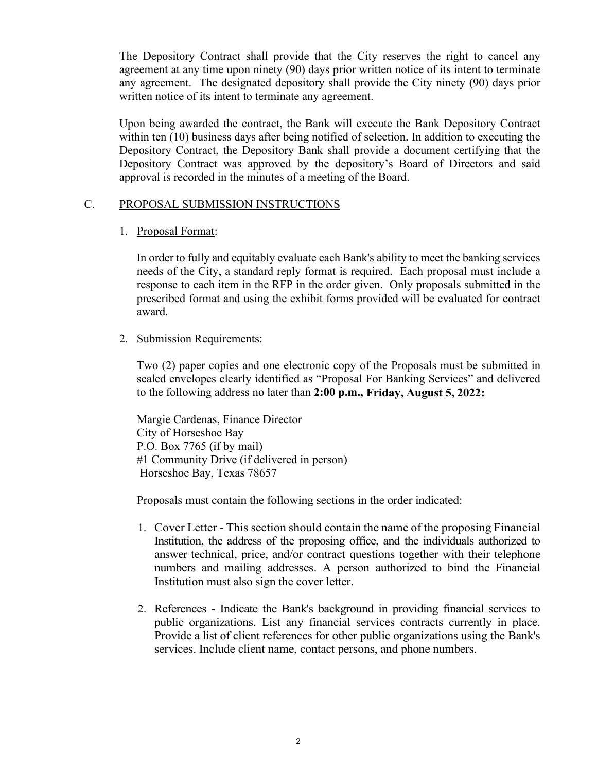The Depository Contract shall provide that the City reserves the right to cancel any agreement at any time upon ninety (90) days prior written notice of its intent to terminate any agreement. The designated depository shall provide the City ninety (90) days prior written notice of its intent to terminate any agreement.

Upon being awarded the contract, the Bank will execute the Bank Depository Contract within ten (10) business days after being notified of selection. In addition to executing the Depository Contract, the Depository Bank shall provide a document certifying that the Depository Contract was approved by the depository's Board of Directors and said approval is recorded in the minutes of a meeting of the Board.

#### C. PROPOSAL SUBMISSION INSTRUCTIONS

#### 1. Proposal Format:

In order to fully and equitably evaluate each Bank's ability to meet the banking services needs of the City, a standard reply format is required. Each proposal must include a response to each item in the RFP in the order given. Only proposals submitted in the prescribed format and using the exhibit forms provided will be evaluated for contract award.

#### 2. Submission Requirements:

Two (2) paper copies and one electronic copy of the Proposals must be submitted in sealed envelopes clearly identified as "Proposal For Banking Services" and delivered to the following address no later than **2:00 p.m., Friday, August 5, 2022:**

Margie Cardenas, Finance Director City of Horseshoe Bay P.O. Box 7765 (if by mail) #1 Community Drive (if delivered in person) Horseshoe Bay, Texas 78657

Proposals must contain the following sections in the order indicated:

- 1. Cover Letter This section should contain the name of the proposing Financial Institution, the address of the proposing office, and the individuals authorized to answer technical, price, and/or contract questions together with their telephone numbers and mailing addresses. A person authorized to bind the Financial Institution must also sign the cover letter.
- 2. References Indicate the Bank's background in providing financial services to public organizations. List any financial services contracts currently in place. Provide a list of client references for other public organizations using the Bank's services. Include client name, contact persons, and phone numbers.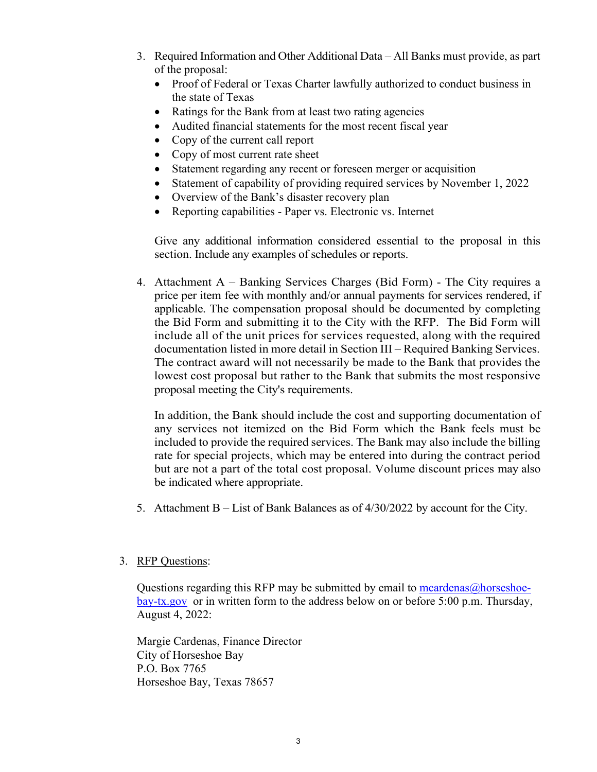- 3. Required Information and Other Additional Data All Banks must provide, as part of the proposal:
	- Proof of Federal or Texas Charter lawfully authorized to conduct business in the state of Texas
	- Ratings for the Bank from at least two rating agencies
	- Audited financial statements for the most recent fiscal year
	- Copy of the current call report
	- Copy of most current rate sheet
	- Statement regarding any recent or foreseen merger or acquisition
	- Statement of capability of providing required services by November 1, 2022
	- Overview of the Bank's disaster recovery plan
	- Reporting capabilities Paper vs. Electronic vs. Internet

Give any additional information considered essential to the proposal in this section. Include any examples of schedules or reports.

4. Attachment A – Banking Services Charges (Bid Form) - The City requires a price per item fee with monthly and/or annual payments for services rendered, if applicable. The compensation proposal should be documented by completing the Bid Form and submitting it to the City with the RFP. The Bid Form will include all of the unit prices for services requested, along with the required documentation listed in more detail in Section III – Required Banking Services. The contract award will not necessarily be made to the Bank that provides the lowest cost proposal but rather to the Bank that submits the most responsive proposal meeting the City's requirements.

In addition, the Bank should include the cost and supporting documentation of any services not itemized on the Bid Form which the Bank feels must be included to provide the required services. The Bank may also include the billing rate for special projects, which may be entered into during the contract period but are not a part of the total cost proposal. Volume discount prices may also be indicated where appropriate.

5. Attachment B – List of Bank Balances as of 4/30/2022 by account for the City.

#### 3. RFP Questions:

Questions regarding this RFP may be submitted by email to mcardenas $@$ horseshoe[bay-tx.gov](mailto:mcardenas@horseshoe-bay-tx.gov) or in written form to the address below on or before 5:00 p.m. Thursday, August 4, 2022:

Margie Cardenas, Finance Director City of Horseshoe Bay P.O. Box 7765 Horseshoe Bay, Texas 78657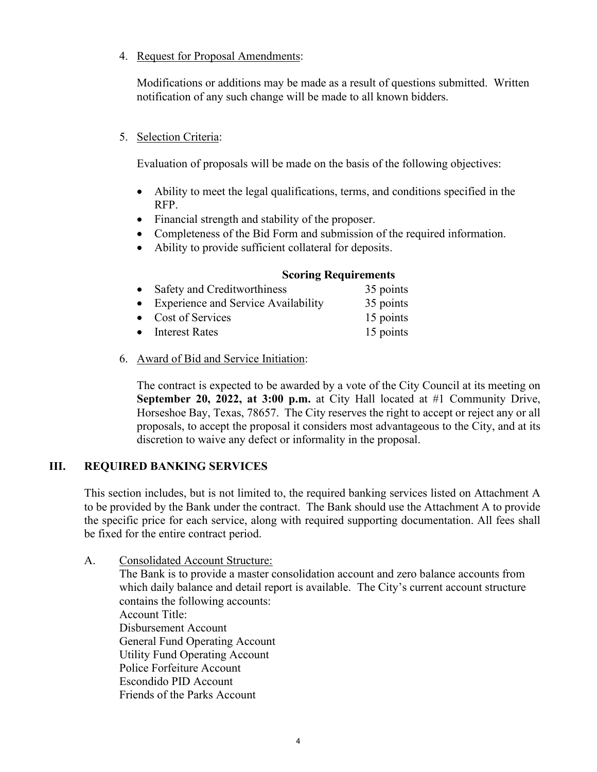### 4. Request for Proposal Amendments:

Modifications or additions may be made as a result of questions submitted. Written notification of any such change will be made to all known bidders.

### 5. Selection Criteria:

Evaluation of proposals will be made on the basis of the following objectives:

- Ability to meet the legal qualifications, terms, and conditions specified in the RFP.
- Financial strength and stability of the proposer.
- Completeness of the Bid Form and submission of the required information.
- Ability to provide sufficient collateral for deposits.

#### **Scoring Requirements**

- Safety and Creditworthiness 35 points • Experience and Service Availability 35 points • Cost of Services 15 points • Interest Rates 15 points
- 6. Award of Bid and Service Initiation:

The contract is expected to be awarded by a vote of the City Council at its meeting on **September 20, 2022, at 3:00 p.m.** at City Hall located at #1 Community Drive, Horseshoe Bay, Texas, 78657. The City reserves the right to accept or reject any or all proposals, to accept the proposal it considers most advantageous to the City, and at its discretion to waive any defect or informality in the proposal.

# **III. REQUIRED BANKING SERVICES**

This section includes, but is not limited to, the required banking services listed on Attachment A to be provided by the Bank under the contract. The Bank should use the Attachment A to provide the specific price for each service, along with required supporting documentation. All fees shall be fixed for the entire contract period.

A. Consolidated Account Structure: The Bank is to provide a master consolidation account and zero balance accounts from which daily balance and detail report is available. The City's current account structure contains the following accounts: Account Title: Disbursement Account General Fund Operating Account Utility Fund Operating Account Police Forfeiture Account Escondido PID Account Friends of the Parks Account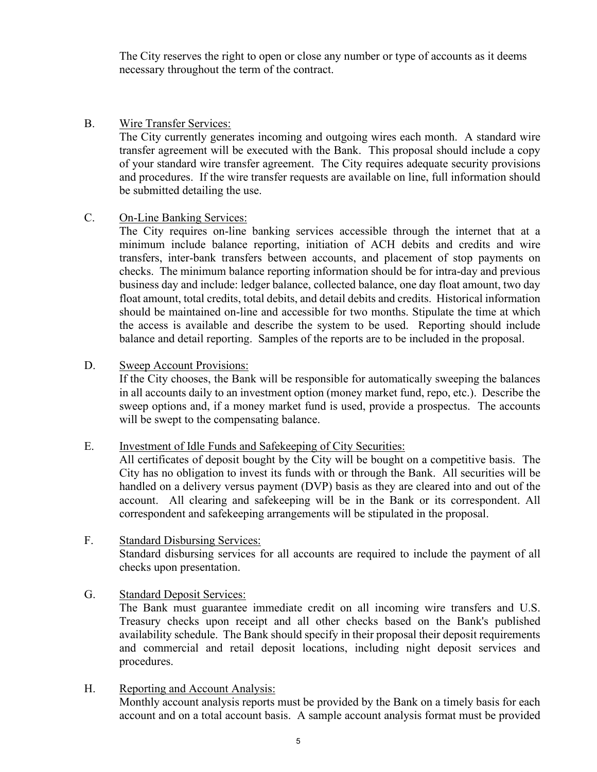The City reserves the right to open or close any number or type of accounts as it deems necessary throughout the term of the contract.

#### B. Wire Transfer Services:

The City currently generates incoming and outgoing wires each month. A standard wire transfer agreement will be executed with the Bank. This proposal should include a copy of your standard wire transfer agreement. The City requires adequate security provisions and procedures. If the wire transfer requests are available on line, full information should be submitted detailing the use.

#### C. On-Line Banking Services:

The City requires on-line banking services accessible through the internet that at a minimum include balance reporting, initiation of ACH debits and credits and wire transfers, inter-bank transfers between accounts, and placement of stop payments on checks. The minimum balance reporting information should be for intra-day and previous business day and include: ledger balance, collected balance, one day float amount, two day float amount, total credits, total debits, and detail debits and credits. Historical information should be maintained on-line and accessible for two months. Stipulate the time at which the access is available and describe the system to be used. Reporting should include balance and detail reporting. Samples of the reports are to be included in the proposal.

#### D. Sweep Account Provisions:

If the City chooses, the Bank will be responsible for automatically sweeping the balances in all accounts daily to an investment option (money market fund, repo, etc.). Describe the sweep options and, if a money market fund is used, provide a prospectus. The accounts will be swept to the compensating balance.

#### E. Investment of Idle Funds and Safekeeping of City Securities:

All certificates of deposit bought by the City will be bought on a competitive basis. The City has no obligation to invest its funds with or through the Bank. All securities will be handled on a delivery versus payment (DVP) basis as they are cleared into and out of the account. All clearing and safekeeping will be in the Bank or its correspondent. All correspondent and safekeeping arrangements will be stipulated in the proposal.

### F. Standard Disbursing Services: Standard disbursing services for all accounts are required to include the payment of all checks upon presentation.

#### G. Standard Deposit Services:

The Bank must guarantee immediate credit on all incoming wire transfers and U.S. Treasury checks upon receipt and all other checks based on the Bank's published availability schedule. The Bank should specify in their proposal their deposit requirements and commercial and retail deposit locations, including night deposit services and procedures.

 H. Reporting and Account Analysis: Monthly account analysis reports must be provided by the Bank on a timely basis for each account and on a total account basis. A sample account analysis format must be provided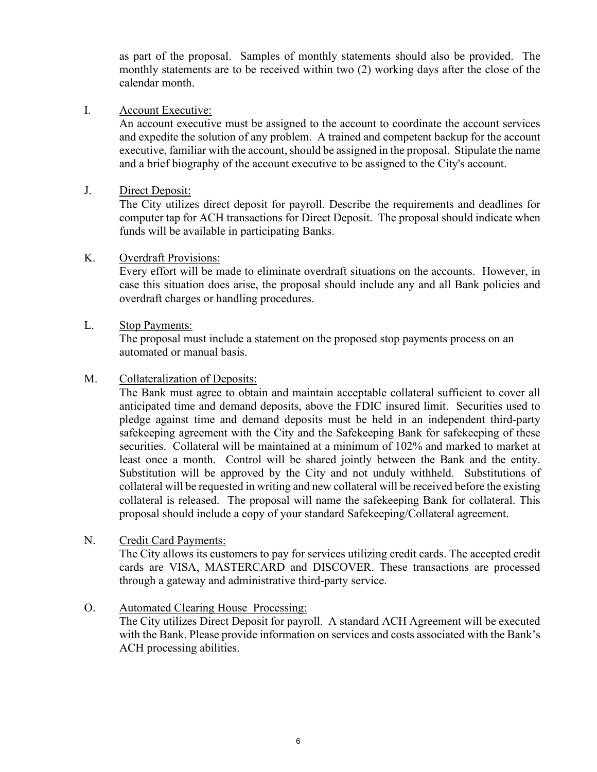as part of the proposal. Samples of monthly statements should also be provided. The monthly statements are to be received within two (2) working days after the close of the calendar month.

#### I. Account Executive:

An account executive must be assigned to the account to coordinate the account services and expedite the solution of any problem. A trained and competent backup for the account executive, familiar with the account, should be assigned in the proposal. Stipulate the name and a brief biography of the account executive to be assigned to the City's account.

### J. Direct Deposit:

The City utilizes direct deposit for payroll. Describe the requirements and deadlines for computer tap for ACH transactions for Direct Deposit. The proposal should indicate when funds will be available in participating Banks.

#### K. Overdraft Provisions:

Every effort will be made to eliminate overdraft situations on the accounts. However, in case this situation does arise, the proposal should include any and all Bank policies and overdraft charges or handling procedures.

#### L. Stop Payments:

The proposal must include a statement on the proposed stop payments process on an automated or manual basis.

#### M. Collateralization of Deposits:

The Bank must agree to obtain and maintain acceptable collateral sufficient to cover all anticipated time and demand deposits, above the FDIC insured limit. Securities used to pledge against time and demand deposits must be held in an independent third-party safekeeping agreement with the City and the Safekeeping Bank for safekeeping of these securities. Collateral will be maintained at a minimum of 102% and marked to market at least once a month. Control will be shared jointly between the Bank and the entity. Substitution will be approved by the City and not unduly withheld. Substitutions of collateral will be requested in writing and new collateral will be received before the existing collateral is released. The proposal will name the safekeeping Bank for collateral. This proposal should include a copy of your standard Safekeeping/Collateral agreement.

#### N. Credit Card Payments:

The City allows its customers to pay for services utilizing credit cards. The accepted credit cards are VISA, MASTERCARD and DISCOVER. These transactions are processed through a gateway and administrative third-party service.

### O. Automated Clearing House Processing:

The City utilizes Direct Deposit for payroll. A standard ACH Agreement will be executed with the Bank. Please provide information on services and costs associated with the Bank's ACH processing abilities.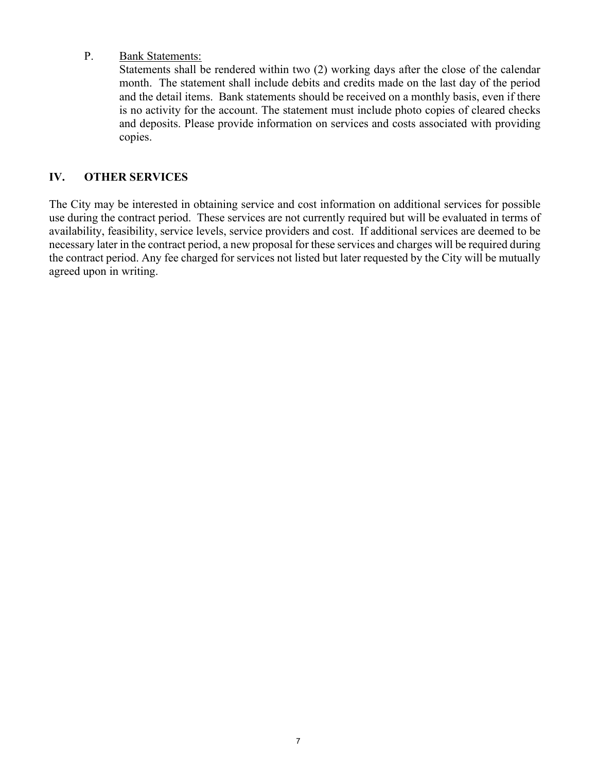### P. Bank Statements:

Statements shall be rendered within two (2) working days after the close of the calendar month. The statement shall include debits and credits made on the last day of the period and the detail items. Bank statements should be received on a monthly basis, even if there is no activity for the account. The statement must include photo copies of cleared checks and deposits. Please provide information on services and costs associated with providing copies.

## **IV. OTHER SERVICES**

The City may be interested in obtaining service and cost information on additional services for possible use during the contract period. These services are not currently required but will be evaluated in terms of availability, feasibility, service levels, service providers and cost. If additional services are deemed to be necessary later in the contract period, a new proposal for these services and charges will be required during the contract period. Any fee charged for services not listed but later requested by the City will be mutually agreed upon in writing.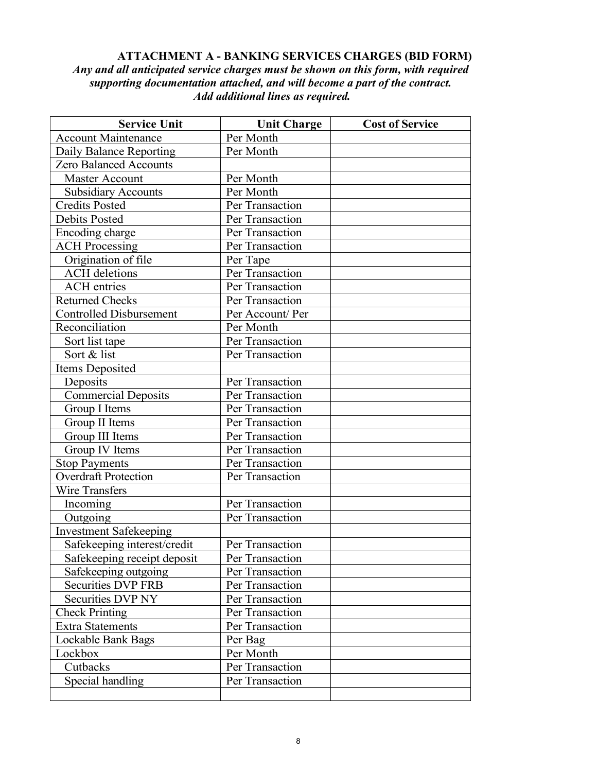### **ATTACHMENT A - BANKING SERVICES CHARGES (BID FORM)** *Any and all anticipated service charges must be shown on this form, with required supporting documentation attached, and will become a part of the contract. Add additional lines as required.*

| <b>Service Unit</b>            | <b>Unit Charge</b> | <b>Cost of Service</b> |
|--------------------------------|--------------------|------------------------|
| <b>Account Maintenance</b>     | Per Month          |                        |
| Daily Balance Reporting        | Per Month          |                        |
| <b>Zero Balanced Accounts</b>  |                    |                        |
| <b>Master Account</b>          | Per Month          |                        |
| <b>Subsidiary Accounts</b>     | Per Month          |                        |
| <b>Credits Posted</b>          | Per Transaction    |                        |
| <b>Debits Posted</b>           | Per Transaction    |                        |
| Encoding charge                | Per Transaction    |                        |
| <b>ACH Processing</b>          | Per Transaction    |                        |
| Origination of file            | Per Tape           |                        |
| <b>ACH</b> deletions           | Per Transaction    |                        |
| <b>ACH</b> entries             | Per Transaction    |                        |
| <b>Returned Checks</b>         | Per Transaction    |                        |
| <b>Controlled Disbursement</b> | Per Account/Per    |                        |
| Reconciliation                 | Per Month          |                        |
| Sort list tape                 | Per Transaction    |                        |
| Sort & list                    | Per Transaction    |                        |
| Items Deposited                |                    |                        |
| Deposits                       | Per Transaction    |                        |
| <b>Commercial Deposits</b>     | Per Transaction    |                        |
| Group I Items                  | Per Transaction    |                        |
| Group II Items                 | Per Transaction    |                        |
| Group III Items                | Per Transaction    |                        |
| Group IV Items                 | Per Transaction    |                        |
| <b>Stop Payments</b>           | Per Transaction    |                        |
| <b>Overdraft Protection</b>    | Per Transaction    |                        |
| Wire Transfers                 |                    |                        |
| Incoming                       | Per Transaction    |                        |
| Outgoing                       | Per Transaction    |                        |
| <b>Investment Safekeeping</b>  |                    |                        |
| Safekeeping interest/credit    | Per Transaction    |                        |
| Safekeeping receipt deposit    | Per Transaction    |                        |
| Safekeeping outgoing           | Per Transaction    |                        |
| <b>Securities DVP FRB</b>      | Per Transaction    |                        |
| Securities DVP NY              | Per Transaction    |                        |
| <b>Check Printing</b>          | Per Transaction    |                        |
| <b>Extra Statements</b>        | Per Transaction    |                        |
| Lockable Bank Bags             | Per Bag            |                        |
| Lockbox                        | Per Month          |                        |
| Cutbacks                       | Per Transaction    |                        |
| Special handling               | Per Transaction    |                        |
|                                |                    |                        |